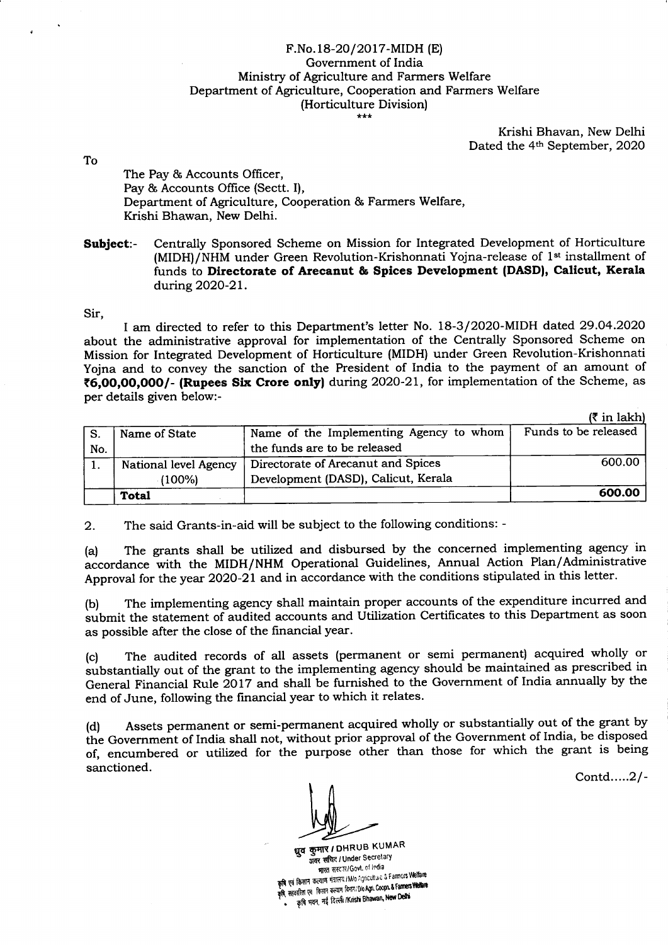## F.No.18-20/2017-MIDH (E) Government of India Ministry of Agriculture and Farmers Welfare Department of Agriculture, Cooperation and Farmers Welfare (Horticulture Division)

Krishi Bhavan, New Delhi Dated the 4<sup>th</sup> September, 2020

To

The Pay & Accounts Officer, Pay & Accounts Office (Sectt. I), Department of Agriculture, Cooperation & Farmers Welfare, Krishi Bhawan, New Delhi.

Subject:- Centrally Sponsored Scheme on Mission for Integrated Development of Horticulture (MIDH)/NHM under Green Revolution-Krishonnati Yojna-release of  $1<sup>st</sup>$  installment of funds to Directorate of Arecanut & Spices Development (DASD), Calicut, Kerala during 2O2O-2L.

Sir,

I am directed to refer to this Department's letter No. 18-3/2020-MIDH dated 29.O4.2O2O about the administrative approval for implementation of the Centrally Sponsored Scheme on Mission for Integrated Development of Horticulture (MIDH) under Green Revolution-Krishonnati Yojna and to convey the sanction of the President of India to the payment of an amount of (6,00,00,0O0/- (Rupees Six Crore onlyf during 2O2O-2L, for implementation of the Scheme, as per details given below:-

|  | $(3 \in \mathbb{R}^2)$ |
|--|------------------------|

|                       |                                     | ----------                              |
|-----------------------|-------------------------------------|-----------------------------------------|
| Name of State         |                                     | Funds to be released                    |
|                       | the funds are to be released        |                                         |
| National level Agency | Directorate of Arecanut and Spices  | 600.00                                  |
| $(100\%)$             | Development (DASD), Calicut, Kerala |                                         |
| <b>Total</b>          |                                     | 600.00                                  |
|                       |                                     | Name of the Implementing Agency to whom |

2. The said Grants-in-aid will be subject to the following conditions: -

(a) The grants shall be utilized and disbursed by the concerned implementing agency in accordance with the MIDH/NHM Operational Guidelines, Annual Action Plan/Administrative Approval for the year 2O2O-21 and in accordance with the conditions stipulated in this letter.

(b) The implementing agency shall maintain proper accounts of the expenditure incurred and submit the statement of audited accounts and Utilization Certificates to this Department as soon as possible after the close of the financial year.

(c) The audited records of all assets (permanent or semi permanent) acquired wholly or substantially out of the grant to the implementing agency should be maintained as prescribed in General Financial Rule 2017 and shall be furnished to the Government of India annually by the end of June, following the financial year to which it relates.

(d) Assets perrnanent or semi-permanent acquired wholly or substantially out of the grant by the Government of India shall not, without prior approval of the Government of India, be disposed of, encumbered or utilized for the purpose other than those for which the grant is being sanctioned.

Contd.....2l-

धूव कुमार*।* DHRUB KUMAR पुत कुमार / Drivou Monte<br>अवर सचिद / Under Secretar मारत सरदार/Govt. of India<br>कृषि एवं किसान कत्याण मंत्रात्य /Mo Agriculture & Farmers Welfare \*ffiffiffi#h:Hlil{;[#ffi n: \*;il कृषि मवन, नई दिल्ली /Krishi Bhawan, New Delhi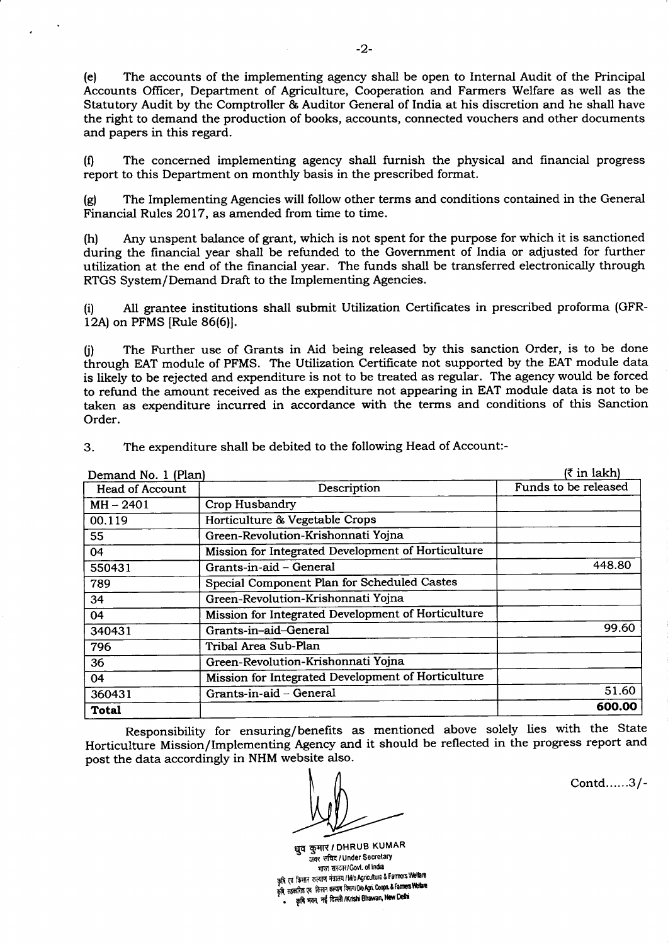(e) The accounts of the implementing agency shall be open to Internal Audit of the Principal Accounts Oflicer, Department of Agriculture, Cooperation and Farmers Welfare as well as the Statutory Audit by the Comptroller & Auditor General of India at his discretion and he shall have the right to demand the production of books, accounts, connected vouchers and other documents and papers in this regard.

(0 The concerned implementing agency shall furnish the physical and financial progress report to this Department on monthly basis in the prescribed format.

(g) The Implementing Agencies will follow other terms and conditions contained in the General Financial Rules 2017, as amended from time to time.

(h) Any unspent balance of grant, which is not spent for the purpose for which it is sanctioned during the financial year shall be refunded to the Government of India or adjusted for further utilization at the end of the financial year. The funds shall be transferred electronically through RTGS System/Demand Draft to the Implementing Agencies.

(i) All grantee institutions shall submit Utilization Certilicates in prescribed proforma (GFR-12A) on PFMS [Rule 86(6)].

(j) The Further use of Grants in Aid being released by this sanction Order, is to be done through EAT module of PFMS. The Utilization Certificate not supported by the EAT module data is likely to be rejected and expenditure is not to be treated as regular. The agency would be forced to refund the amount received as the expenditure not appearing in EAT module data is not to be taken as expenditure incurred in accordance with the terms and conditions of this Sanction Order.

| Demand No. 1 (Plan)    |                                                    | $(3 \in \mathbb{R}^2)$ |
|------------------------|----------------------------------------------------|------------------------|
| <b>Head of Account</b> | Description                                        | Funds to be released   |
| $MH - 2401$            | Crop Husbandry                                     |                        |
| 00.119                 | Horticulture & Vegetable Crops                     |                        |
| 55                     | Green-Revolution-Krishonnati Yojna                 |                        |
| 04                     | Mission for Integrated Development of Horticulture |                        |
| 550431                 | Grants-in-aid - General                            | 448.80                 |
| 789                    | Special Component Plan for Scheduled Castes        |                        |
| 34                     | Green-Revolution-Krishonnati Yojna                 |                        |
| 04                     | Mission for Integrated Development of Horticulture |                        |
| 340431                 | Grants-in-aid-General                              | 99.60                  |
| 796                    | Tribal Area Sub-Plan                               |                        |
| 36                     | Green-Revolution-Krishonnati Yojna                 |                        |
| 04                     | Mission for Integrated Development of Horticulture |                        |
| 360431                 | Grants-in-aid – General                            | 51.60                  |
| Total                  |                                                    | 600.00                 |

3. The expenditure shall be debited to the following Head of Account:-

Responsibility for ensuring/benefits as mentioned above solely lies with the State Horticulture Mission/Implementing Agency and it should be reflected in the progress report and post the data accordingly in NHM website also.

धुव कुमार / DHRUB KUMAR पुप पुग्भार / Dirico Dirico<br>अवर सचिद / Under Secretary भारत सरदार/ Govt. of India कृषि एवं किसान कल्याण मंत्रालय / M/o Agriculture & Farmers Welfare र्?"<br>कृषि सहकारिता एव किसान कल्याण विमाग/DioAgri. Coopn. & Farmers Wellian<br>- • कृषि भवन, नई दिल्ली /Krishi Bhawan, New Delhi कृषि भवन, नई दिल्ली /Krishi Bhawan, New Delhi

Contd......3/-